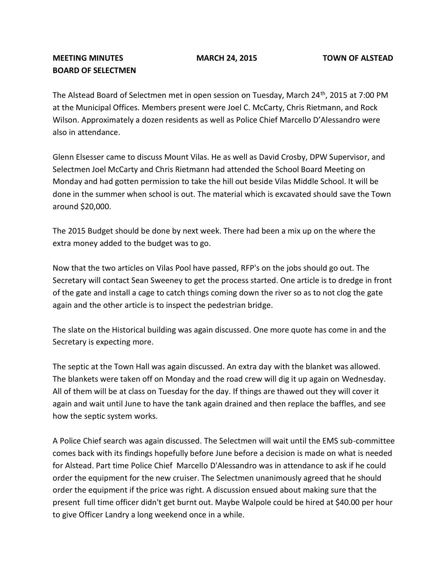## **MEETING MINUTES MARCH 24, 2015 TOWN OF ALSTEAD BOARD OF SELECTMEN**

The Alstead Board of Selectmen met in open session on Tuesday, March 24<sup>th</sup>, 2015 at 7:00 PM at the Municipal Offices. Members present were Joel C. McCarty, Chris Rietmann, and Rock Wilson. Approximately a dozen residents as well as Police Chief Marcello D'Alessandro were also in attendance.

Glenn Elsesser came to discuss Mount Vilas. He as well as David Crosby, DPW Supervisor, and Selectmen Joel McCarty and Chris Rietmann had attended the School Board Meeting on Monday and had gotten permission to take the hill out beside Vilas Middle School. It will be done in the summer when school is out. The material which is excavated should save the Town around \$20,000.

The 2015 Budget should be done by next week. There had been a mix up on the where the extra money added to the budget was to go.

Now that the two articles on Vilas Pool have passed, RFP's on the jobs should go out. The Secretary will contact Sean Sweeney to get the process started. One article is to dredge in front of the gate and install a cage to catch things coming down the river so as to not clog the gate again and the other article is to inspect the pedestrian bridge.

The slate on the Historical building was again discussed. One more quote has come in and the Secretary is expecting more.

The septic at the Town Hall was again discussed. An extra day with the blanket was allowed. The blankets were taken off on Monday and the road crew will dig it up again on Wednesday. All of them will be at class on Tuesday for the day. If things are thawed out they will cover it again and wait until June to have the tank again drained and then replace the baffles, and see how the septic system works.

A Police Chief search was again discussed. The Selectmen will wait until the EMS sub-committee comes back with its findings hopefully before June before a decision is made on what is needed for Alstead. Part time Police Chief Marcello D'Alessandro was in attendance to ask if he could order the equipment for the new cruiser. The Selectmen unanimously agreed that he should order the equipment if the price was right. A discussion ensued about making sure that the present full time officer didn't get burnt out. Maybe Walpole could be hired at \$40.00 per hour to give Officer Landry a long weekend once in a while.